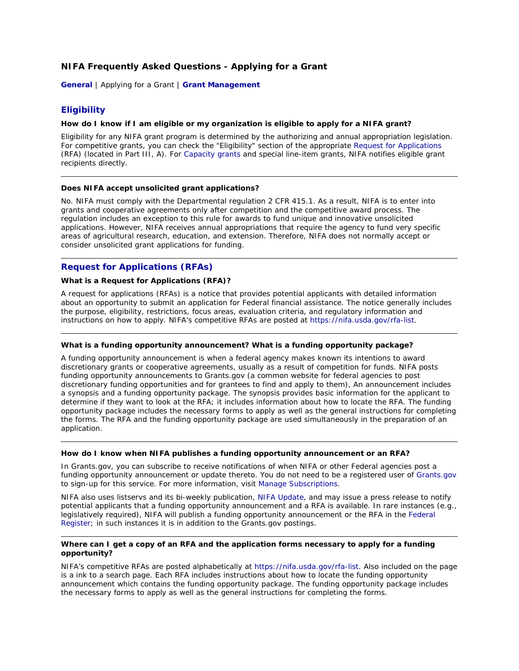# **NIFA Frequently Asked Questions - Applying for a Grant**

**[General](http://nifa.usda.gov/home/faq_general.html)** | Applying for a Grant | **[Grant Management](http://nifa.usda.gov/home/faq_grant_management.html)**

# **Eligibility**

# **How do I know if I am eligible or my organization is eligible to apply for a NIFA grant?**

Eligibility for any NIFA grant program is determined by the authorizing and annual appropriation legislation. For competitive grants, you can check the "Eligibility" section of the appropriate [Request for Applications](https://nifa.usda.gov/rfa-list)  (RFA) (located in Part III, A). For [Capacity](http://www.nifa.usda.gov/business/awards/formula.html) grants and special line-item grants, NIFA notifies eligible grant recipients directly.

## **Does NIFA accept unsolicited grant applications?**

No. NIFA must comply with the Departmental regulation 2 CFR 415.1. As a result, NIFA is to enter into grants and cooperative agreements only after competition and the competitive award process. The regulation includes an exception to this rule for awards to fund unique and innovative unsolicited applications. However, NIFA receives annual appropriations that require the agency to fund very specific areas of agricultural research, education, and extension. Therefore, NIFA does not normally accept or consider unsolicited grant applications for funding.

# **Request for Applications (RFAs)**

# **What is a Request for Applications (RFA)?**

A request for applications (RFAs) is a notice that provides potential applicants with detailed information about an opportunity to submit an application for Federal financial assistance. The notice generally includes the purpose, eligibility, restrictions, focus areas, evaluation criteria, and regulatory information and instructions on how to apply. NIFA's competitive RFAs are posted at [https://nifa.usda.gov/rfa-list.](https://nifa.usda.gov/rfa-list)

## **What is a funding opportunity announcement? What is a funding opportunity package?**

A funding opportunity announcement is when a federal agency makes known its intentions to award discretionary grants or cooperative agreements, usually as a result of competition for funds. NIFA posts funding opportunity announcements to Grants.gov (a common website for federal agencies to post discretionary funding opportunities and for grantees to find and apply to them), An announcement includes a synopsis and a funding opportunity package. The synopsis provides basic information for the applicant to determine if they want to look at the RFA; it includes information about how to locate the RFA. The funding opportunity package includes the necessary forms to apply as well as the general instructions for completing the forms. The RFA and the funding opportunity package are used simultaneously in the preparation of an application.

# **How do I know when NIFA publishes a funding opportunity announcement or an RFA?**

In Grants.gov, you can subscribe to receive notifications of when NIFA or other Federal agencies post a funding opportunity announcement or update thereto. You do not need to be a registered user of [Grants.gov](https://www.grants.gov/web/grants/home.html) to sign-up for this service. For more information, visit [Manage Subscriptions.](http://www.grants.gov/web/grants/manage-subscriptions.html)

NIFA also uses listservs and its bi-weekly publication, [NIFA Update,](http://www.nifa.usda.gov/newsroom/newsletters/update.html) and may issue a press release to notify potential applicants that a funding opportunity announcement and a RFA is available. In rare instances (e.g., legislatively required), NIFA will publish a funding opportunity announcement or the RFA in the [Federal](http://www.gpoaccess.gov/fr/)  [Register;](http://www.gpoaccess.gov/fr/) in such instances it is in addition to the Grants.gov postings.

# **Where can I get a copy of an RFA and the application forms necessary to apply for a funding opportunity?**

NIFA's competitive RFAs are posted alphabetically at [https://nifa.usda.gov/rfa-list.](https://nifa.usda.gov/rfa-list) Also included on the page is a ink to a search page. Each RFA includes instructions about how to locate the funding opportunity announcement which contains the funding opportunity package. The funding opportunity package includes the necessary forms to apply as well as the general instructions for completing the forms.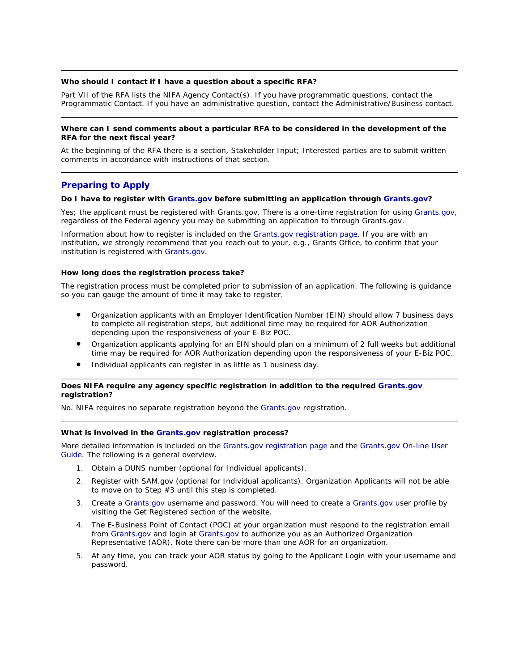# **Who should I contact if I have a question about a specific RFA?**

Part VII of the RFA lists the NIFA Agency Contact(s). If you have programmatic questions, contact the Programmatic Contact. If you have an administrative question, contact the Administrative/Business contact.

# **Where can I send comments about a particular RFA to be considered in the development of the RFA for the next fiscal year?**

At the beginning of the RFA there is a section, Stakeholder Input; Interested parties are to submit written comments in accordance with instructions of that section.

# **Preparing to Apply**

## **Do I have to register with [Grants.gov](https://www.grants.gov/web/grants/home.html) before submitting an application through [Grants.gov?](https://www.grants.gov/web/grants/home.html)**

Yes; the applicant must be registered with Grants.gov. There is a one-time registration for using [Grants.gov,](https://www.grants.gov/web/grants/home.html) regardless of the Federal agency you may be submitting an application to through Grants.gov.

Information about how to register is included on the [Grants.gov registration page.](https://www.grants.gov/web/grants/applicants/organization-registration.html) If you are with an institution, we strongly recommend that you reach out to your, e.g., Grants Office, to confirm that your institution is registered with [Grants.gov.](https://www.grants.gov/web/grants/home.html)

## **How long does the registration process take?**

The registration process must be completed prior to submission of an application. The following is guidance so you can gauge the amount of time it may take to register.

- Organization applicants with an Employer Identification Number (EIN) should allow 7 business days to complete all registration steps, but additional time may be required for AOR Authorization depending upon the responsiveness of your E-Biz POC.
- Organization applicants applying for an EIN should plan on a minimum of 2 full weeks but additional time may be required for AOR Authorization depending upon the responsiveness of your E-Biz POC.

\_\_\_\_\_\_\_\_\_\_\_\_\_\_\_\_\_\_\_\_\_\_\_\_\_\_\_\_\_\_\_\_\_\_\_\_\_\_\_\_\_\_\_\_\_\_\_\_\_\_\_\_\_\_\_\_\_\_\_\_\_\_\_\_\_\_\_\_\_\_\_\_\_\_\_\_\_\_

• Individual applicants can register in as little as 1 business day.

## **Does NIFA require any agency specific registration in addition to the required [Grants.gov](https://www.grants.gov/web/grants/home.html) registration?**

No. NIFA requires no separate registration beyond the [Grants.gov](https://www.grants.gov/web/grants/home.html) registration.

## **What is involved in the [Grants.gov](https://www.grants.gov/web/grants/home.html) registration process?**

More detailed information is included on the [Grants.gov registration page](https://www.grants.gov/web/grants/applicants/organization-registration.html) and the [Grants.gov On-line User](https://www.grants.gov/help/html/help/GetStarted/GetStarted.htm)  [Guide.](https://www.grants.gov/help/html/help/GetStarted/GetStarted.htm) The following is a general overview.

- 1. Obtain a DUNS number (optional for Individual applicants).
- 2. Register with SAM.gov (optional for Individual applicants). Organization Applicants will not be able to move on to Step #3 until this step is completed.
- 3. Create a [Grants.gov](https://www.grants.gov/web/grants/home.html) username and password. You will need to create a [Grants.gov](https://www.grants.gov/web/grants/home.html) user profile by visiting the Get Registered section of the website.
- 4. The E-Business Point of Contact (POC) at your organization must respond to the registration email from [Grants.gov](https://www.grants.gov/web/grants/home.html) and login at [Grants.gov](https://www.grants.gov/web/grants/home.html) to authorize you as an Authorized Organization Representative (AOR). Note there can be more than one AOR for an organization.
- 5. At any time, you can track your AOR status by going to the Applicant Login with your username and password.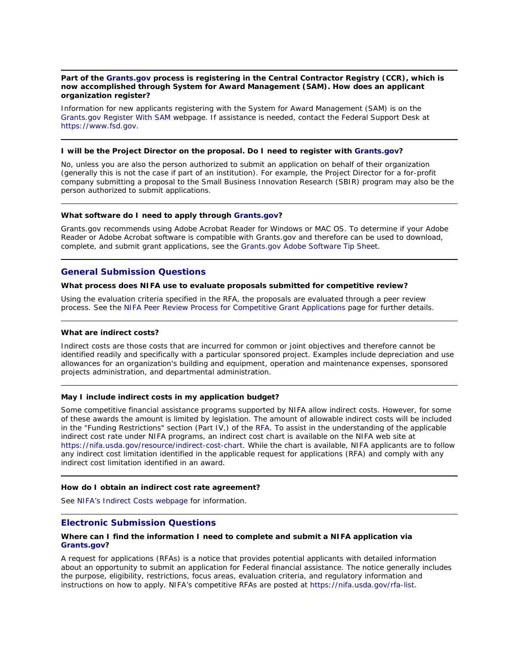## **Part of the [Grants.gov](https://www.grants.gov/web/grants/home.html) process is registering in the Central Contractor Registry (CCR), which is now accomplished through System for Award Management (SAM). How does an applicant organization register?**

Information for new applicants registering with the System for Award Management (SAM) is on the [Grants.gov Register With SAM](https://www.grants.gov/applicants/organization-registration/step-2-register-with-sam.html) webpage. If assistance is needed, contact the Federal Support Desk at [https://www.fsd.gov.](https://www.fsd.gov/)

#### **I will be the Project Director on the proposal. Do I need to register with [Grants.gov?](https://www.grants.gov/web/grants/home.html)**

No, unless you are also the person authorized to submit an application on behalf of their organization (generally this is not the case if part of an institution). For example, the Project Director for a for-profit company submitting a proposal to the Small Business Innovation Research (SBIR) program may also be the person authorized to submit applications.

#### **What software do I need to apply through [Grants.gov?](https://www.grants.gov/web/grants/home.html)**

Grants.gov recommends using Adobe Acrobat Reader for Windows or MAC OS. To determine if your Adobe Reader or Adobe Acrobat software is compatible with Grants.gov and therefore can be used to download, complete, and submit grant applications, see the [Grants.gov Adobe Software Tip Sheet.](https://www.grants.gov/web/grants/applicants/adobe-software-compatibility.html)

# **General Submission Questions**

#### **What process does NIFA use to evaluate proposals submitted for competitive review?**

Using the evaluation criteria specified in the RFA, the proposals are evaluated through a peer review process. See the NIFA Peer Review [Process for Competitive Grant Applications](http://www.nifa.usda.gov/business/competitive_peer_review.html) page for further details.

#### **What are indirect costs?**

Indirect costs are those costs that are incurred for common or joint objectives and therefore cannot be identified readily and specifically with a particular sponsored project. Examples include depreciation and use allowances for an organization's building and equipment, operation and maintenance expenses, sponsored projects administration, and departmental administration.

#### **May I include indirect costs in my application budget?**

Some competitive financial assistance programs supported by NIFA allow indirect costs. However, for some of these awards the amount is limited by legislation. The amount of allowable indirect costs will be included in the "Funding Restrictions" section (Part IV,) of the [RFA.](https://nifa.usda.gov/rfa-list) To assist in the understanding of the applicable indirect cost rate under NIFA programs, an indirect cost chart is available on the NIFA web site at [https://nifa.usda.gov/resource/indirect-cost-chart.](https://nifa.usda.gov/resource/indirect-cost-chart) While the chart is available, NIFA applicants are to follow any indirect cost limitation identified in the applicable request for applications (RFA) and comply with any indirect cost limitation identified in an award.

#### **How do I obtain an indirect cost rate agreement?**

See [NIFA's Indirect Costs](https://nifa.usda.gov/indirect-costs) webpage for information.

# **Electronic Submission Questions**

# **Where can I find the information I need to complete and submit a NIFA application via [Grants.gov?](https://www.grants.gov/web/grants/home.html)**

A request for applications (RFAs) is a notice that provides potential applicants with detailed information about an opportunity to submit an application for Federal financial assistance. The notice generally includes the purpose, eligibility, restrictions, focus areas, evaluation criteria, and regulatory information and instructions on how to apply. NIFA's competitive RFAs are posted at [https://nifa.usda.gov/rfa-list.](https://nifa.usda.gov/rfa-list)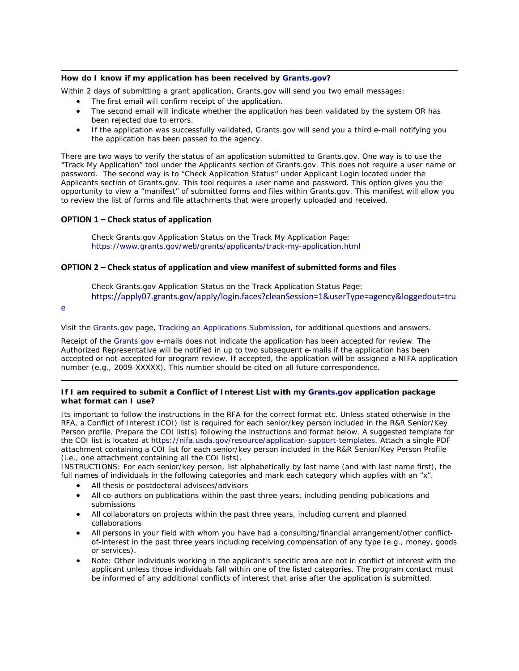# **How do I know if my application has been received by [Grants.gov?](https://www.grants.gov/web/grants/home.html)**

Within 2 days of submitting a grant application, Grants.gov will send you two email messages:

- The first email will confirm receipt of the application.
- The second email will indicate whether the application has been validated by the system OR has been rejected due to errors.
- If the application was successfully validated, Grants.gov will send you a third e-mail notifying you the application has been passed to the agency.

There are two ways to verify the status of an application submitted to Grants.gov. One way is to use the "Track My Application" tool under the Applicants section of Grants.gov. This does not require a user name or password. The second way is to "Check Application Status" under Applicant Login located under the Applicants section of Grants.gov. This tool requires a user name and password. This option gives you the opportunity to view a "manifest" of submitted forms and files within Grants.gov. This manifest will allow you to review the list of forms and file attachments that were properly uploaded and received.

# **OPTION 1 – Check status of application**

Check Grants.gov Application Status on the Track My Application Page: <https://www.grants.gov/web/grants/applicants/track-my-application.html>

# **OPTION 2 – Check status of application and view manifest of submitted forms and files**

Check Grants.gov Application Status on the Track Application Status Page: [https://apply07.grants.gov/apply/login.faces?cleanSession=1&userType=agency&loggedout=tru](https://apply07.grants.gov/apply/login.faces?cleanSession=1&userType=agency&loggedout=true)

#### [e](https://apply07.grants.gov/apply/login.faces?cleanSession=1&userType=agency&loggedout=true)

Visit the [Grants.gov](https://www.grants.gov/web/grants/home.html) page, [Tracking an Applications Submission,](https://www.grants.gov/web/grants/applicants/track-my-application.html) for additional questions and answers.

Receipt of the [Grants.gov](https://www.grants.gov/web/grants/home.html) e-mails does not indicate the application has been accepted for review. The Authorized Representative will be notified in up to two subsequent e-mails if the application has been accepted or not-accepted for program review. If accepted, the application will be assigned a NIFA application number (e.g., 2009-XXXXX). This number should be cited on all future correspondence.

# **If I am required to submit a Conflict of Interest List with my [Grants.gov](https://www.grants.gov/web/grants/home.html) application package what format can I use?**

Its important to follow the instructions in the RFA for the correct format etc. Unless stated otherwise in the RFA, a Conflict of Interest (COI) list is required for each senior/key person included in the R&R Senior/Key Person profile. Prepare the COI list(s) following the instructions and format below. A suggested template for the COI list is located at [https://nifa.usda.gov/resource/application-support-templates.](https://nifa.usda.gov/resource/application-support-templates) Attach a single PDF attachment containing a COI list for each senior/key person included in the R&R Senior/Key Person Profile (i.e., one attachment containing all the COI lists).

INSTRUCTIONS: For each senior/key person, list alphabetically by last name (and with last name first), the full names of individuals in the following categories and mark each category which applies with an "x".

- All thesis or postdoctoral advisees/advisors
- All co-authors on publications within the past three years, including pending publications and submissions
- All collaborators on projects within the past three years, including current and planned collaborations
- All persons in your field with whom you have had a consulting/financial arrangement/other conflictof-interest in the past three years including receiving compensation of any type (e.g., money, goods or services).
- Note: Other individuals working in the applicant's specific area are not in conflict of interest with the applicant unless those individuals fall within one of the listed categories. The program contact must be informed of any additional conflicts of interest that arise after the application is submitted.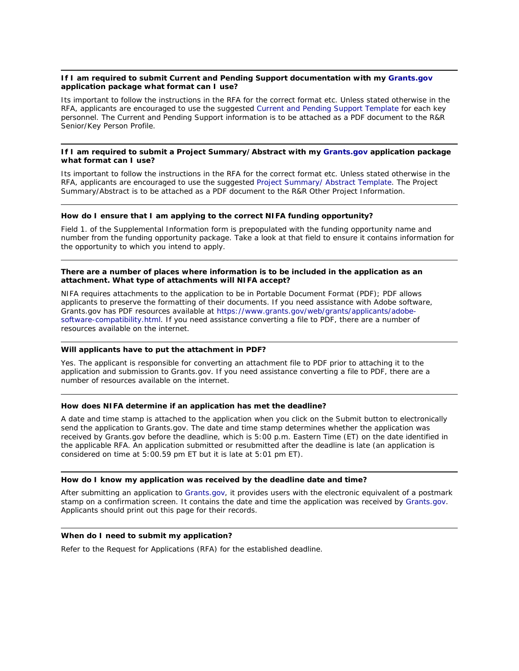# **If I am required to submit Current and Pending Support documentation with my [Grants.gov](https://www.grants.gov/web/grants/home.html) application package what format can I use?**

Its important to follow the instructions in the RFA for the correct format etc. Unless stated otherwise in the RFA, applicants are encouraged to use the suggested [Current and Pending Support Template](http://www.nifa.usda.gov/funding/templates/current_pending.doc) for each key personnel. The Current and Pending Support information is to be attached as a PDF document to the R&R Senior/Key Person Profile.

# **If I am required to submit a Project Summary/Abstract with my [Grants.gov](https://www.grants.gov/web/grants/home.html) application package what format can I use?**

Its important to follow the instructions in the RFA for the correct format etc. Unless stated otherwise in the RFA, applicants are encouraged to use the suggested [Project Summary/ Abstract Template.](http://www.nifa.usda.gov/funding/templates/project_summary.doc) The Project Summary/Abstract is to be attached as a PDF document to the R&R Other Project Information.

## **How do I ensure that I am applying to the correct NIFA funding opportunity?**

Field 1. of the Supplemental Information form is prepopulated with the funding opportunity name and number from the funding opportunity package. Take a look at that field to ensure it contains information for the opportunity to which you intend to apply.

# **There are a number of places where information is to be included in the application as an attachment. What type of attachments will NIFA accept?**

NIFA requires attachments to the application to be in Portable Document Format (PDF); PDF allows applicants to preserve the formatting of their documents. If you need assistance with Adobe software, Grants.gov has PDF resources available at [https://www.grants.gov/web/grants/applicants/adobe](https://www.grants.gov/web/grants/applicants/adobe-software-compatibility.html)[software-compatibility.html.](https://www.grants.gov/web/grants/applicants/adobe-software-compatibility.html) If you need assistance converting a file to PDF, there are a number of resources available on the internet.

## **Will applicants have to put the attachment in PDF?**

Yes. The applicant is responsible for converting an attachment file to PDF prior to attaching it to the application and submission to Grants.gov. If you need assistance converting a file to PDF, there are a number of resources available on the internet.

# **How does NIFA determine if an application has met the deadline?**

A date and time stamp is attached to the application when you click on the Submit button to electronically send the application to Grants.gov. The date and time stamp determines whether the application was received by Grants.gov before the deadline, which is 5:00 p.m. Eastern Time (ET) on the date identified in the applicable RFA. An application submitted or resubmitted after the deadline is late (an application is considered on time at 5:00.59 pm ET but it is late at 5:01 pm ET).

## **How do I know my application was received by the deadline date and time?**

After submitting an application to [Grants.gov,](https://www.grants.gov/web/grants/home.html) it provides users with the electronic equivalent of a postmark stamp on a confirmation screen. It contains the date and time the application was received by [Grants.gov.](https://www.grants.gov/web/grants/home.html) Applicants should print out this page for their records.

## **When do I need to submit my application?**

Refer to the Request for Applications (RFA) for the established deadline.